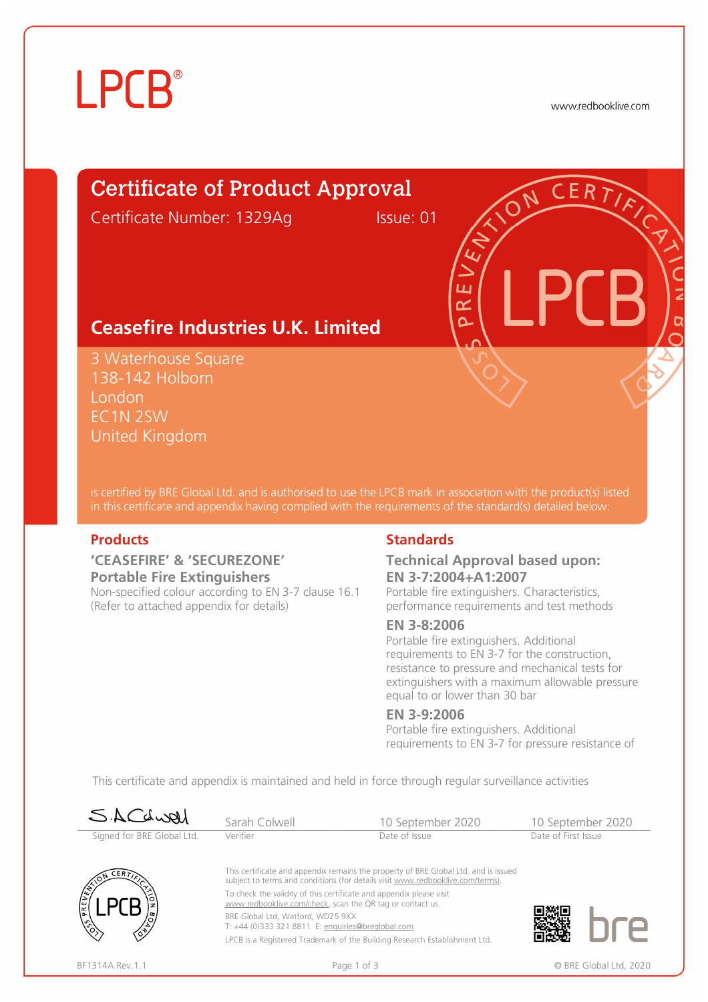# **LPCB**®

www.redbooklive.com

# Certificate of Product Approval

Certificate Number: 1329Ag Issue: 01

ய œ  $\Omega$ 

# **Ceasefire Industries U.K. Limited**

3 Waterhouse Square 138-142 Holborn London EC1N 2SW United Kingdom

is certified by BRE Global Ltd. and is authorised to use the LPCB mark in association with the product(s) listed in this certificate and appendix having complied with the requirements of the standard(s) detailed below:

### **'CEASEFIRE' & 'SECUREZONE' Portable Fire Extinguishers**

Non-specified colour according to EN 3-7 clause 16.1 (Refer to attached appendix for details)

### **Products Standards**

### **Technical Approval based upon: EN 3-7:2004+A1:2007**

Portable fire extinguishers. Characteristics, performance requirements and test methods

#### **EN 3-8:2006**

Portable fire extinguishers. Additional requirements to EN 3-7 for the construction, resistance to pressure and mechanical tests for extinguishers with a maximum allowable pressure equal to or lower than 30 bar

### **EN 3-9:2006**

Portable fire extinguishers. Additional requirements to EN 3-7 for pressure resistance of

This certificate and appendix is maintained and held in force through regular surveillance activities

| SACLURI                    | Sarah Colwell                                                                                                                                                         | 10 September 2020                                                          |                     | 10 September 2020 |
|----------------------------|-----------------------------------------------------------------------------------------------------------------------------------------------------------------------|----------------------------------------------------------------------------|---------------------|-------------------|
| Signed for BRE Global Ltd. | Verifier                                                                                                                                                              | Date of Issue                                                              | Date of First Issue |                   |
| CERT                       | This certificate and appendix remains the property of BRE Global Ltd. and is issued<br>subject to terms and conditions (for details visit www.redbooklive.com/terms). |                                                                            |                     |                   |
| PREV                       | To check the validity of this certificate and appendix please visit<br>www.redbooklive.com/check, scan the QR tag or contact us.                                      |                                                                            |                     |                   |
|                            | BRE Global Ltd, Watford, WD25 9XX<br>T: +44 (0)333 321 8811 E: enquiries@breglobal.com                                                                                |                                                                            |                     |                   |
|                            |                                                                                                                                                                       | LPCB is a Registered Trademark of the Building Research Establishment Ltd. |                     |                   |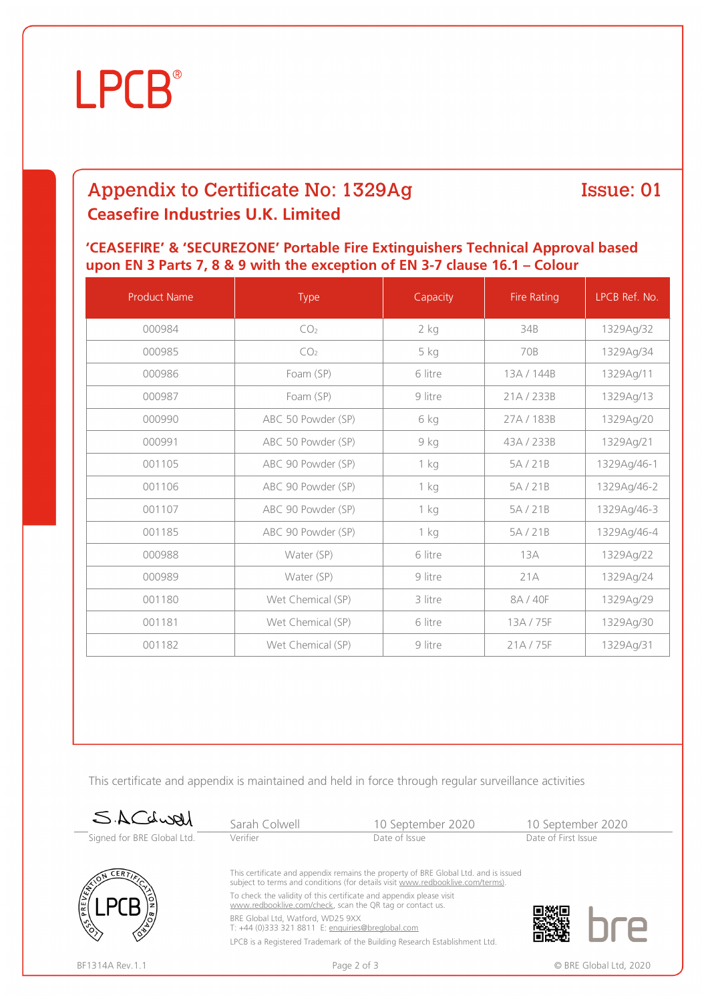# **LPCB**®

# Appendix to Certificate No: 1329Ag **Ceasefire Industries U.K. Limited**

### Issue: 01

### **'CEASEFIRE' & 'SECUREZONE' Portable Fire Extinguishers Technical Approval based upon EN 3 Parts 7, 8 & 9 with the exception of EN 3-7 clause 16.1 – Colour**

| <b>Product Name</b> | Type               | Capacity | <b>Fire Rating</b> | LPCB Ref. No. |
|---------------------|--------------------|----------|--------------------|---------------|
| 000984              | CO <sub>2</sub>    | 2 kg     | 34B                | 1329Ag/32     |
| 000985              | CO <sub>2</sub>    | 5 kg     | 70B                | 1329Ag/34     |
| 000986              | Foam (SP)          | 6 litre  | 13A / 144B         | 1329Ag/11     |
| 000987              | Foam (SP)          | 9 litre  | 21A/233B           | 1329Ag/13     |
| 000990              | ABC 50 Powder (SP) | 6 kg     | 27A / 183B         | 1329Ag/20     |
| 000991              | ABC 50 Powder (SP) | 9 kg     | 43A / 233B         | 1329Ag/21     |
| 001105              | ABC 90 Powder (SP) | $1$ kg   | 5A/21B             | 1329Ag/46-1   |
| 001106              | ABC 90 Powder (SP) | $1$ kg   | 5A/21B             | 1329Ag/46-2   |
| 001107              | ABC 90 Powder (SP) | $1$ kg   | 5A/21B             | 1329Ag/46-3   |
| 001185              | ABC 90 Powder (SP) | $1$ kg   | 5A/21B             | 1329Ag/46-4   |
| 000988              | Water (SP)         | 6 litre  | 13A                | 1329Ag/22     |
| 000989              | Water (SP)         | 9 litre  | 21A                | 1329Ag/24     |
| 001180              | Wet Chemical (SP)  | 3 litre  | 8A / 40F           | 1329Ag/29     |
| 001181              | Wet Chemical (SP)  | 6 litre  | 13A/75F            | 1329Ag/30     |
| 001182              | Wet Chemical (SP)  | 9 litre  | 21A/75F            | 1329Ag/31     |

This certificate and appendix is maintained and held in force through regular surveillance activities

| SACLURI                    | Sarah Colwell                                                                                                                                                                                                                                                                                                                                                                                       | 10 September 2020                                                                         | 10 September 2020      |
|----------------------------|-----------------------------------------------------------------------------------------------------------------------------------------------------------------------------------------------------------------------------------------------------------------------------------------------------------------------------------------------------------------------------------------------------|-------------------------------------------------------------------------------------------|------------------------|
| Signed for BRE Global Ltd. | Verifier                                                                                                                                                                                                                                                                                                                                                                                            | Date of Issue                                                                             | Date of First Issue    |
|                            | This certificate and appendix remains the property of BRE Global Ltd. and is issued<br>subject to terms and conditions (for details visit www.redbooklive.com/terms).<br>To check the validity of this certificate and appendix please visit<br>www.redbooklive.com/check, scan the QR tag or contact us.<br>BRE Global Ltd, Watford, WD25 9XX<br>T: +44 (0)333 321 8811 E: enquiries@breglobal.com |                                                                                           |                        |
| BF1314A Rev.1.1            |                                                                                                                                                                                                                                                                                                                                                                                                     | LPCB is a Registered Trademark of the Building Research Establishment Ltd.<br>Page 2 of 3 | © BRE Global Ltd. 2020 |